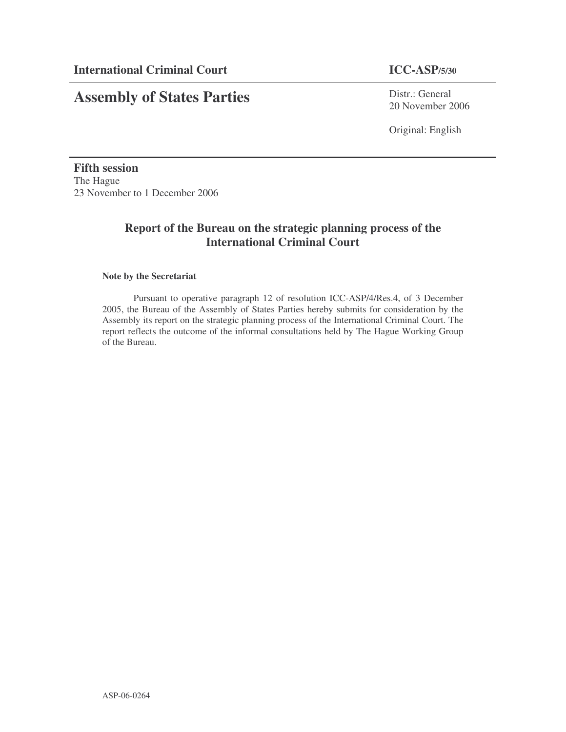# **Assembly of States Parties**

Distr.: General 20 November 2006

Original: English

**Fifth session** The Hague 23 November to 1 December 2006

## **Report of the Bureau on the strategic planning process of the International Criminal Court**

#### **Note by the Secretariat**

Pursuant to operative paragraph 12 of resolution ICC-ASP/4/Res.4, of 3 December 2005, the Bureau of the Assembly of States Parties hereby submits for consideration by the Assembly its report on the strategic planning process of the International Criminal Court. The report reflects the outcome of the informal consultations held by The Hague Working Group of the Bureau.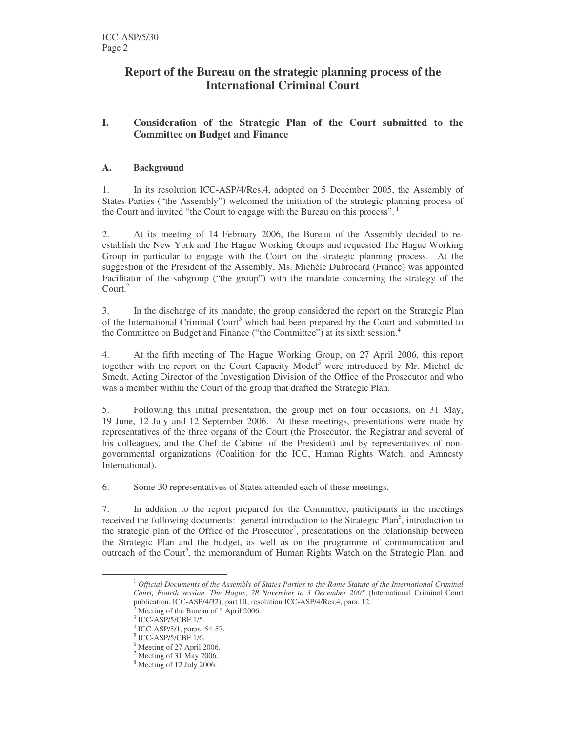## **Report of the Bureau on the strategic planning process of the International Criminal Court**

### **I. Consideration of the Strategic Plan of the Court submitted to the Committee on Budget and Finance**

#### **A. Background**

1. In its resolution ICC-ASP/4/Res.4, adopted on 5 December 2005, the Assembly of States Parties ("the Assembly") welcomed the initiation of the strategic planning process of the Court and invited "the Court to engage with the Bureau on this process".<sup>1</sup>

2. At its meeting of 14 February 2006, the Bureau of the Assembly decided to reestablish the New York and The Hague Working Groups and requested The Hague Working Group in particular to engage with the Court on the strategic planning process. At the suggestion of the President of the Assembly, Ms. Michèle Dubrocard (France) was appointed Facilitator of the subgroup ("the group") with the mandate concerning the strategy of the Court. 2

3. In the discharge of its mandate, the group considered the report on the Strategic Plan of the International Criminal Court<sup>3</sup> which had been prepared by the Court and submitted to the Committee on Budget and Finance ("the Committee") at its sixth session. 4

4. At the fifth meeting of The Hague Working Group, on 27 April 2006, this report together with the report on the Court Capacity Model<sup>5</sup> were introduced by Mr. Michel de Smedt, Acting Director of the Investigation Division of the Office of the Prosecutor and who was a member within the Court of the group that drafted the Strategic Plan.

5. Following this initial presentation, the group met on four occasions, on 31 May, 19 June, 12 July and 12 September 2006. At these meetings, presentations were made by representatives of the three organs of the Court (the Prosecutor, the Registrar and several of his colleagues, and the Chef de Cabinet of the President) and by representatives of nongovernmental organizations (Coalition for the ICC, Human Rights Watch, and Amnesty International).

6. Some 30 representatives of States attended each of these meetings.

7. In addition to the report prepared for the Committee, participants in the meetings received the following documents: general introduction to the Strategic Plan<sup>6</sup>, introduction to the strategic plan of the Office of the Prosecutor<sup>7</sup>, presentations on the relationship between the Strategic Plan and the budget, as well as on the programme of communication and outreach of the Court<sup>8</sup>, the memorandum of Human Rights Watch on the Strategic Plan, and

<sup>1</sup> *Official Documents of the Assembly of States Parties to the Rome Statute of the International Criminal Court, Fourth session, The Hague, 28 November to 3 December 2005* (International Criminal Court publication, ICC-ASP/4/32), part III, resolution ICC-ASP/4/Res.4, para. 12.

<sup>2</sup> Meeting of the Bureau of 5 April 2006.

<sup>3</sup> ICC-ASP/5/CBF.1/5.

<sup>4</sup> ICC-ASP/5/1, paras. 54-57.

<sup>5</sup> ICC-ASP/5/CBF.1/6.

<sup>6</sup> Meeting of 27 April 2006.

<sup>7</sup> Meeting of 31 May 2006.

<sup>8</sup> Meeting of 12 July 2006.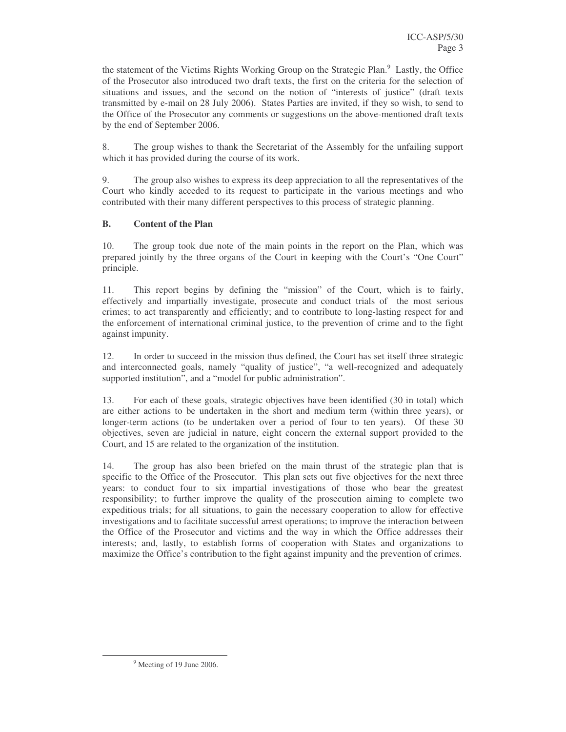the statement of the Victims Rights Working Group on the Strategic Plan.<sup>9</sup> Lastly, the Office of the Prosecutor also introduced two draft texts, the first on the criteria for the selection of situations and issues, and the second on the notion of "interests of justice" (draft texts transmitted by e-mail on 28 July 2006). States Parties are invited, if they so wish, to send to the Office of the Prosecutor any comments or suggestions on the above-mentioned draft texts by the end of September 2006.

8. The group wishes to thank the Secretariat of the Assembly for the unfailing support which it has provided during the course of its work.

9. The group also wishes to express its deep appreciation to all the representatives of the Court who kindly acceded to its request to participate in the various meetings and who contributed with their many different perspectives to this process of strategic planning.

#### **B. Content of the Plan**

10. The group took due note of the main points in the report on the Plan, which was prepared jointly by the three organs of the Court in keeping with the Court's "One Court" principle.

11. This report begins by defining the "mission" of the Court, which is to fairly, effectively and impartially investigate, prosecute and conduct trials of the most serious crimes; to act transparently and efficiently; and to contribute to long-lasting respect for and the enforcement of international criminal justice, to the prevention of crime and to the fight against impunity.

12. In order to succeed in the mission thus defined, the Court has set itself three strategic and interconnected goals, namely "quality of justice", "a well-recognized and adequately supported institution", and a "model for public administration".

13. For each of these goals, strategic objectives have been identified (30 in total) which are either actions to be undertaken in the short and medium term (within three years), or longer-term actions (to be undertaken over a period of four to ten years). Of these 30 objectives, seven are judicial in nature, eight concern the external support provided to the Court, and 15 are related to the organization of the institution.

14. The group has also been briefed on the main thrust of the strategic plan that is specific to the Office of the Prosecutor. This plan sets out five objectives for the next three years: to conduct four to six impartial investigations of those who bear the greatest responsibility; to further improve the quality of the prosecution aiming to complete two expeditious trials; for all situations, to gain the necessary cooperation to allow for effective investigations and to facilitate successful arrest operations; to improve the interaction between the Office of the Prosecutor and victims and the way in which the Office addresses their interests; and, lastly, to establish forms of cooperation with States and organizations to maximize the Office's contribution to the fight against impunity and the prevention of crimes.

<sup>&</sup>lt;sup>9</sup> Meeting of 19 June 2006.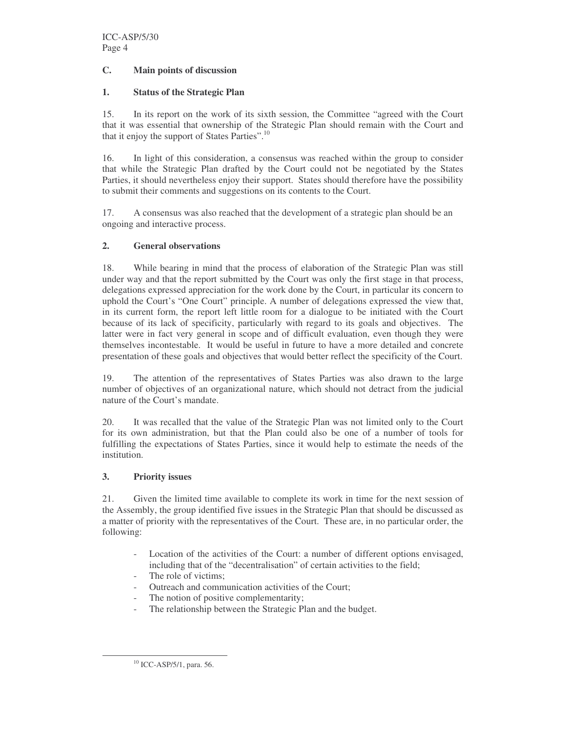#### **C. Main points of discussion**

#### **1. Status of the Strategic Plan**

15. In its report on the work of its sixth session, the Committee "agreed with the Court that it was essential that ownership of the Strategic Plan should remain with the Court and that it enjoy the support of States Parties".<sup>10</sup>

16. In light of this consideration, a consensus was reached within the group to consider that while the Strategic Plan drafted by the Court could not be negotiated by the States Parties, it should nevertheless enjoy their support. States should therefore have the possibility to submit their comments and suggestions on its contents to the Court.

17. A consensus was also reached that the development of a strategic plan should be an ongoing and interactive process.

#### **2. General observations**

18. While bearing in mind that the process of elaboration of the Strategic Plan was still under way and that the report submitted by the Court was only the first stage in that process, delegations expressed appreciation for the work done by the Court, in particular its concern to uphold the Court's "One Court" principle. A number of delegations expressed the view that, in its current form, the report left little room for a dialogue to be initiated with the Court because of its lack of specificity, particularly with regard to its goals and objectives. The latter were in fact very general in scope and of difficult evaluation, even though they were themselves incontestable. It would be useful in future to have a more detailed and concrete presentation of these goals and objectives that would better reflect the specificity of the Court.

19. The attention of the representatives of States Parties was also drawn to the large number of objectives of an organizational nature, which should not detract from the judicial nature of the Court's mandate.

20. It was recalled that the value of the Strategic Plan was not limited only to the Court for its own administration, but that the Plan could also be one of a number of tools for fulfilling the expectations of States Parties, since it would help to estimate the needs of the institution.

#### **3. Priority issues**

21. Given the limited time available to complete its work in time for the next session of the Assembly, the group identified five issues in the Strategic Plan that should be discussed as a matter of priority with the representatives of the Court. These are, in no particular order, the following:

- Location of the activities of the Court: a number of different options envisaged, including that of the "decentralisation" of certain activities to the field;
- The role of victims;
- Outreach and communication activities of the Court;
- The notion of positive complementarity;
- The relationship between the Strategic Plan and the budget.

<sup>&</sup>lt;sup>10</sup> ICC-ASP/5/1, para. 56.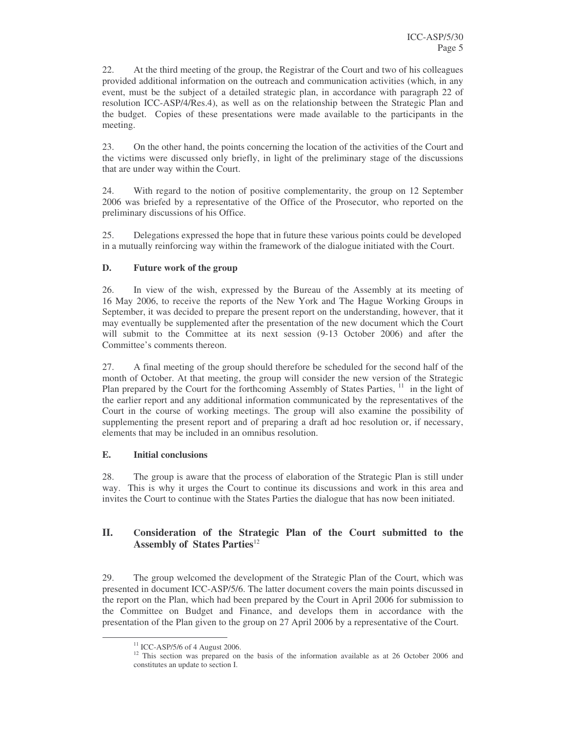22. At the third meeting of the group, the Registrar of the Court and two of his colleagues provided additional information on the outreach and communication activities (which, in any event, must be the subject of a detailed strategic plan, in accordance with paragraph 22 of resolution ICC-ASP/4/Res.4), as well as on the relationship between the Strategic Plan and the budget. Copies of these presentations were made available to the participants in the meeting.

23. On the other hand, the points concerning the location of the activities of the Court and the victims were discussed only briefly, in light of the preliminary stage of the discussions that are under way within the Court.

24. With regard to the notion of positive complementarity, the group on 12 September 2006 was briefed by a representative of the Office of the Prosecutor, who reported on the preliminary discussions of his Office.

25. Delegations expressed the hope that in future these various points could be developed in a mutually reinforcing way within the framework of the dialogue initiated with the Court.

#### **D. Future work of the group**

26. In view of the wish, expressed by the Bureau of the Assembly at its meeting of 16 May 2006, to receive the reports of the New York and The Hague Working Groups in September, it was decided to prepare the present report on the understanding, however, that it may eventually be supplemented after the presentation of the new document which the Court will submit to the Committee at its next session (9-13 October 2006) and after the Committee's comments thereon.

27. A final meeting of the group should therefore be scheduled for the second half of the month of October. At that meeting, the group will consider the new version of the Strategic Plan prepared by the Court for the forthcoming Assembly of States Parties, <sup>11</sup> in the light of the earlier report and any additional information communicated by the representatives of the Court in the course of working meetings. The group will also examine the possibility of supplementing the present report and of preparing a draft ad hoc resolution or, if necessary, elements that may be included in an omnibus resolution.

#### **E. Initial conclusions**

28. The group is aware that the process of elaboration of the Strategic Plan is still under way. This is why it urges the Court to continue its discussions and work in this area and invites the Court to continue with the States Parties the dialogue that has now been initiated.

## **II. Consideration of the Strategic Plan of the Court submitted to the Assembly of States Parties** 12

29. The group welcomed the development of the Strategic Plan of the Court, which was presented in document ICC-ASP/5/6. The latter document covers the main points discussed in the report on the Plan, which had been prepared by the Court in April 2006 for submission to the Committee on Budget and Finance, and develops them in accordance with the presentation of the Plan given to the group on 27 April 2006 by a representative of the Court.

 $11$  ICC-ASP/5/6 of 4 August 2006.

<sup>&</sup>lt;sup>12</sup> This section was prepared on the basis of the information available as at 26 October 2006 and constitutes an update to section I.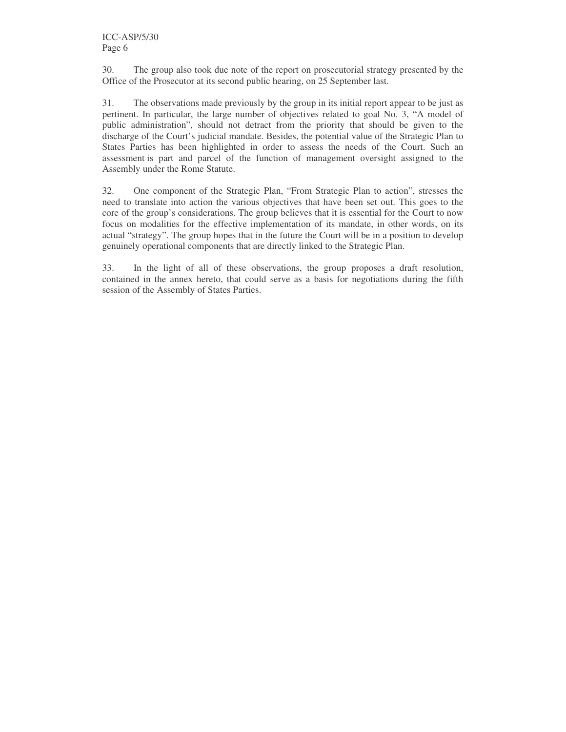30. The group also took due note of the report on prosecutorial strategy presented by the Office of the Prosecutor at its second public hearing, on 25 September last.

31. The observations made previously by the group in its initial report appear to be just as pertinent. In particular, the large number of objectives related to goal No. 3, "A model of public administration", should not detract from the priority that should be given to the discharge of the Court's judicial mandate. Besides, the potential value of the Strategic Plan to States Parties has been highlighted in order to assess the needs of the Court. Such an assessment is part and parcel of the function of management oversight assigned to the Assembly under the Rome Statute.

32. One component of the Strategic Plan, "From Strategic Plan to action", stresses the need to translate into action the various objectives that have been set out. This goes to the core of the group's considerations. The group believes that it is essential for the Court to now focus on modalities for the effective implementation of its mandate, in other words, on its actual "strategy". The group hopes that in the future the Court will be in a position to develop genuinely operational components that are directly linked to the Strategic Plan.

33. In the light of all of these observations, the group proposes a draft resolution, contained in the annex hereto, that could serve as a basis for negotiations during the fifth session of the Assembly of States Parties.